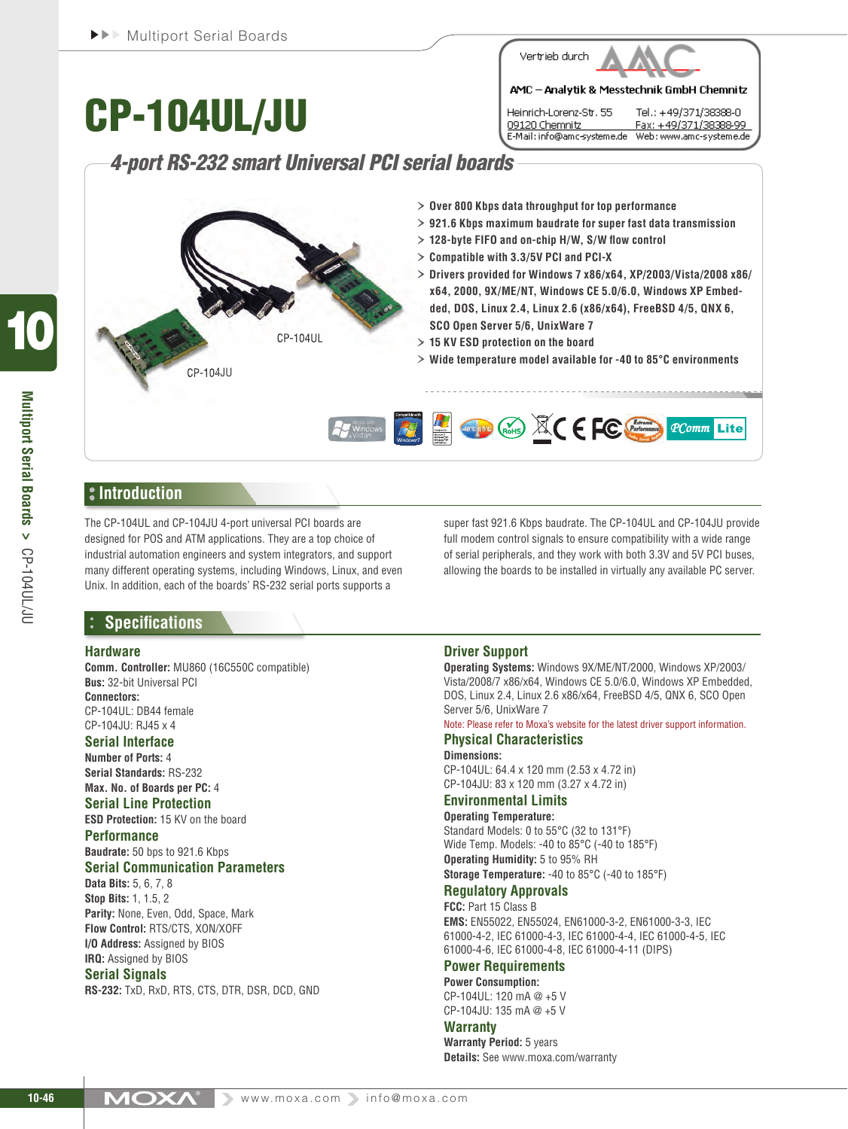CP-104UL/JU

# Vertrieb durch

AMC - Analytik & Messtechnik GmbH Chemnitz

Tel.: +49/371/38388-0

Fax: +49/371/38388-99

Heinrich-Lorenz-Str. 55 09120 Chemnitz E-Mail: info@amc-systeme.de Web: www.amc-systeme.de

# *4-port RS-232 smart Universal PCI serial boards*



# **Introduction**

The CP-104UL and CP-104JU 4-port universal PCI boards are designed for POS and ATM applications. They are a top choice of industrial automation engineers and system integrators, and support many different operating systems, including Windows, Linux, and even Unix. In addition, each of the boards' RS-232 serial ports supports a

super fast 921.6 Kbps baudrate. The CP-104UL and CP-104JU provide full modem control signals to ensure compatibility with a wide range of serial peripherals, and they work with both 3.3V and 5V PCI buses, allowing the boards to be installed in virtually any available PC server.

# **Specifi cations**

### **Hardware**

**Comm. Controller:** MU860 (16C550C compatible) **Bus:** 32-bit Universal PCI **Connectors:** CP-104UL: DB44 female CP-104JU: RJ45 x 4

### **Serial Interface**

**Number of Ports:** 4 **Serial Standards:** RS-232 **Max. No. of Boards per PC:** 4

# **Serial Line Protection**

**ESD Protection:** 15 KV on the board **Performance**

# **Baudrate:** 50 bps to 921.6 Kbps

**Serial Communication Parameters Data Bits:** 5, 6, 7, 8

**Stop Bits:** 1, 1.5, 2 **Parity:** None, Even, Odd, Space, Mark **Flow Control:** RTS/CTS, XON/XOFF **I/O Address:** Assigned by BIOS **IRQ:** Assigned by BIOS

### **Serial Signals**

**RS-232:** TxD, RxD, RTS, CTS, DTR, DSR, DCD, GND

## **Driver Support**

**Operating Systems:** Windows 9X/ME/NT/2000, Windows XP/2003/ Vista/2008/7 x86/x64, Windows CE 5.0/6.0, Windows XP Embedded, DOS, Linux 2.4, Linux 2.6 x86/x64, FreeBSD 4/5, QNX 6, SCO Open Server 5/6, UnixWare 7

# Note: Please refer to Moxa's website for the latest driver support information.

# **Physical Characteristics**

**Dimensions:** CP-104UL: 64.4 x 120 mm (2.53 x 4.72 in) CP-104JU: 83 x 120 mm (3.27 x 4.72 in)

## **Environmental Limits**

**Operating Temperature:** Standard Models: 0 to 55°C (32 to 131°F) Wide Temp. Models: -40 to 85°C (-40 to 185°F) **Operating Humidity:** 5 to 95% RH **Storage Temperature:** -40 to 85°C (-40 to 185°F)

### **Regulatory Approvals**

**FCC:** Part 15 Class B **EMS:** EN55022, EN55024, EN61000-3-2, EN61000-3-3, IEC 61000-4-2, IEC 61000-4-3, IEC 61000-4-4, IEC 61000-4-5, IEC 61000-4-6, IEC 61000-4-8, IEC 61000-4-11 (DIPS)

### **Power Requirements**

**Power Consumption:** CP-104UL: 120 mA @ +5 V CP-104JU: 135 mA @ +5 V

## **Warranty**

**Warranty Period:** 5 years **Details:** See www.moxa.com/warranty